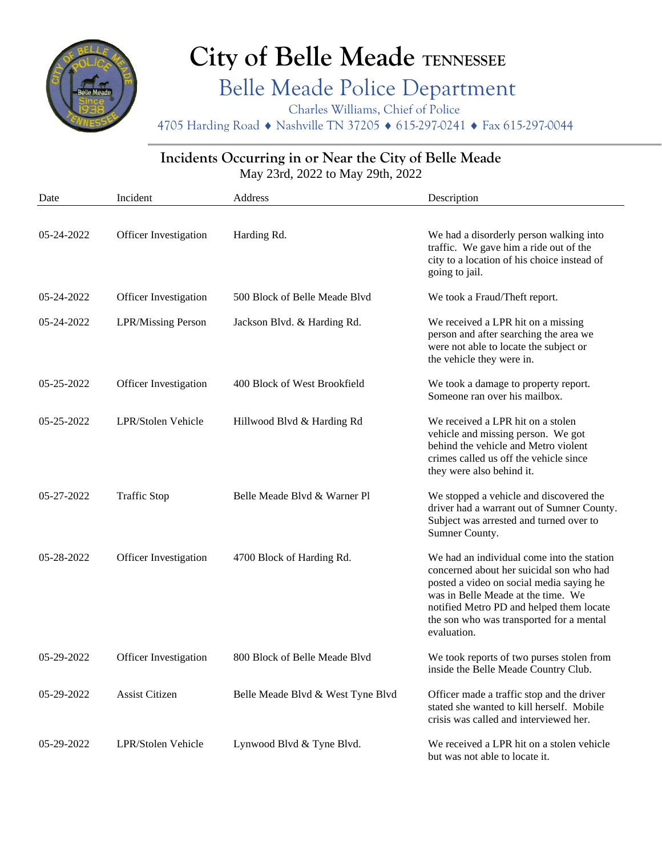

## **City of Belle Meade TENNESSEE**

## Belle Meade Police Department

Charles Williams, Chief of Police

4705 Harding Road ◆ Nashville TN 37205 ◆ 615-297-0241 ◆ Fax 615-297-0044

## **Incidents Occurring in or Near the City of Belle Meade** May 23rd, 2022 to May 29th, 2022

| Date       | Incident                     | Address                           | Description                                                                                                                                                                                                                                                                     |
|------------|------------------------------|-----------------------------------|---------------------------------------------------------------------------------------------------------------------------------------------------------------------------------------------------------------------------------------------------------------------------------|
| 05-24-2022 | <b>Officer Investigation</b> | Harding Rd.                       | We had a disorderly person walking into<br>traffic. We gave him a ride out of the<br>city to a location of his choice instead of<br>going to jail.                                                                                                                              |
| 05-24-2022 | Officer Investigation        | 500 Block of Belle Meade Blvd     | We took a Fraud/Theft report.                                                                                                                                                                                                                                                   |
| 05-24-2022 | <b>LPR/Missing Person</b>    | Jackson Blvd. & Harding Rd.       | We received a LPR hit on a missing<br>person and after searching the area we<br>were not able to locate the subject or<br>the vehicle they were in.                                                                                                                             |
| 05-25-2022 | Officer Investigation        | 400 Block of West Brookfield      | We took a damage to property report.<br>Someone ran over his mailbox.                                                                                                                                                                                                           |
| 05-25-2022 | LPR/Stolen Vehicle           | Hillwood Blvd & Harding Rd        | We received a LPR hit on a stolen<br>vehicle and missing person. We got<br>behind the vehicle and Metro violent<br>crimes called us off the vehicle since<br>they were also behind it.                                                                                          |
| 05-27-2022 | <b>Traffic Stop</b>          | Belle Meade Blvd & Warner Pl      | We stopped a vehicle and discovered the<br>driver had a warrant out of Sumner County.<br>Subject was arrested and turned over to<br>Sumner County.                                                                                                                              |
| 05-28-2022 | <b>Officer Investigation</b> | 4700 Block of Harding Rd.         | We had an individual come into the station<br>concerned about her suicidal son who had<br>posted a video on social media saying he<br>was in Belle Meade at the time. We<br>notified Metro PD and helped them locate<br>the son who was transported for a mental<br>evaluation. |
| 05-29-2022 | <b>Officer Investigation</b> | 800 Block of Belle Meade Blvd     | We took reports of two purses stolen from<br>inside the Belle Meade Country Club.                                                                                                                                                                                               |
| 05-29-2022 | <b>Assist Citizen</b>        | Belle Meade Blvd & West Tyne Blvd | Officer made a traffic stop and the driver<br>stated she wanted to kill herself. Mobile<br>crisis was called and interviewed her.                                                                                                                                               |
| 05-29-2022 | LPR/Stolen Vehicle           | Lynwood Blvd & Tyne Blvd.         | We received a LPR hit on a stolen vehicle<br>but was not able to locate it.                                                                                                                                                                                                     |